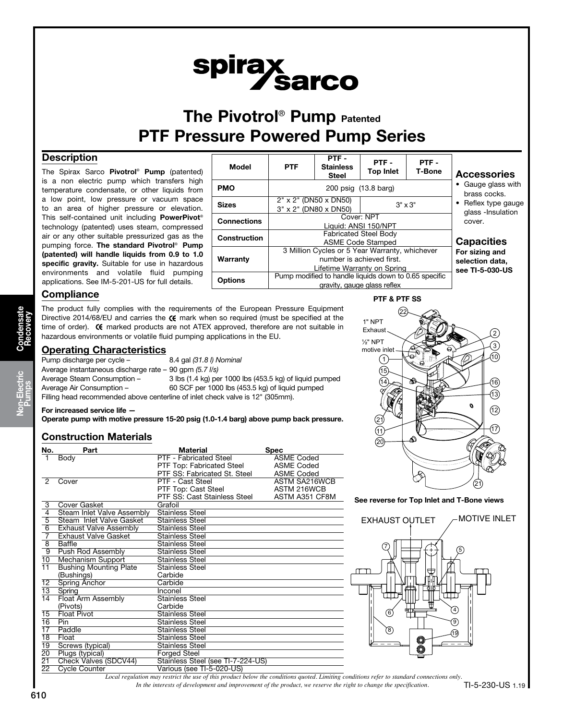# spirax<br>Sarco

# The Pivotrol<sup>®</sup> Pump Patented PTF Pressure Powered Pump Series

# **Description**

The Spirax Sarco Pivotrol® Pump (patented) is a non electric pump which transfers high temperature condensate, or other liquids from a low point, low pressure or vacuum space to an area of higher pressure or elevation. This self-contained unit including PowerPivot® technology (patented) uses steam, compressed air or any other suitable pressurized gas as the pumping force. The standard Pivotrol® Pump (patented) will handle liquids from 0.9 to 1.0 specific gravity. Suitable for use in hazardous environments and volatile fluid pumping applications. See IM-5-201-US for full details.



# **Compliance**

The product fully complies with the requirements of the European Pressure Equipment Directive 2014/68/EU and carries the  $\mathsf C \mathsf f$  mark when so required (must be specified at the time of order).  $\epsilon$  marked products are not ATEX approved, therefore are not suitable in hazardous environments or volatile fluid pumping applications in the EU.

# Operating Characteristics

| Pump discharge per cycle -                              | 8.4 gal (31.8 l) Nominal                                                       |
|---------------------------------------------------------|--------------------------------------------------------------------------------|
| Average instantaneous discharge rate – 90 gpm (5.7 l/s) |                                                                                |
| Average Steam Consumption –                             | 3 lbs (1.4 kg) per 1000 lbs (453.5 kg) of liquid pumped                        |
| Average Air Consumption –                               | 60 SCF per 1000 lbs (453.5 kg) of liquid pumped                                |
|                                                         | Filling head recommended above centerline of inlet check valve is 12" (305mm). |

#### For increased service life —

Operate pump with motive pressure 15-20 psig (1.0-1.4 barg) above pump back pressure.

# Construction Materials

| No.             | Part                          | Material                          | Spec              |  |  |  |  |
|-----------------|-------------------------------|-----------------------------------|-------------------|--|--|--|--|
| 1               | Body                          | PTF - Fabricated Steel            | <b>ASME Coded</b> |  |  |  |  |
|                 |                               | PTF Top: Fabricated Steel         | <b>ASME Coded</b> |  |  |  |  |
|                 |                               | PTF SS: Fabricated St. Steel      | <b>ASME Coded</b> |  |  |  |  |
| 2               | Cover                         | PTF - Cast Steel                  | ASTM SA216WCB     |  |  |  |  |
|                 |                               | PTF Top: Cast Steel               | ASTM 216WCB       |  |  |  |  |
|                 |                               | PTF SS: Cast Stainless Steel      | ASTM A351 CF8M    |  |  |  |  |
| 3               | Cover Gasket                  | Grafoil                           |                   |  |  |  |  |
| $\overline{4}$  | Steam Inlet Valve Assembly    | <b>Stainless Steel</b>            |                   |  |  |  |  |
| $\overline{5}$  | Steam Inlet Valve Gasket      | <b>Stainless Steel</b>            |                   |  |  |  |  |
| $\overline{6}$  | <b>Exhaust Valve Assembly</b> | <b>Stainless Steel</b>            |                   |  |  |  |  |
| 7               | <b>Exhaust Valve Gasket</b>   | <b>Stainless Steel</b>            |                   |  |  |  |  |
| 8               | Baffle                        | <b>Stainless Steel</b>            |                   |  |  |  |  |
| ९               | Push Rod Assembly             | <b>Stainless Steel</b>            |                   |  |  |  |  |
| 10              | Mechanism Support             | <b>Stainless Steel</b>            |                   |  |  |  |  |
| 11              | <b>Bushing Mounting Plate</b> | Stainless Steel                   |                   |  |  |  |  |
|                 | (Bushings)                    | Carbide                           |                   |  |  |  |  |
| $\overline{12}$ | <b>Spring Anchor</b>          | Carbide                           |                   |  |  |  |  |
| $\overline{13}$ | Spring                        | Inconel                           |                   |  |  |  |  |
| $\overline{14}$ | <b>Float Arm Assembly</b>     | <b>Stainless Steel</b>            |                   |  |  |  |  |
|                 | (Pivots)                      | Carbide                           |                   |  |  |  |  |
| $\overline{15}$ | <b>Float Pivot</b>            | <b>Stainless Steel</b>            |                   |  |  |  |  |
| 16              | Pin                           | Stainless Steel                   |                   |  |  |  |  |
| 17              | Paddle                        | <b>Stainless Steel</b>            |                   |  |  |  |  |
| $\overline{18}$ | Float                         | <b>Stainless Steel</b>            |                   |  |  |  |  |
| 19              | Screws (typical)              | Stainless Steel                   |                   |  |  |  |  |
| 20              | Plugs (typical)               | <b>Forged Steel</b>               |                   |  |  |  |  |
| 21              | Check Valves (SDCV44)         | Stainless Steel (see TI-7-224-US) |                   |  |  |  |  |
| 22              | <b>Cycle Counter</b>          | Various (see TI-5-020-US)         |                   |  |  |  |  |



#### See reverse for Top Inlet and T-Bone views



*In the interests of development and improvement of the product, we reserve the right to change the specification. Local regulation may restrict the use of this product below the conditions quoted. Limiting conditions refer to standard connections only.*